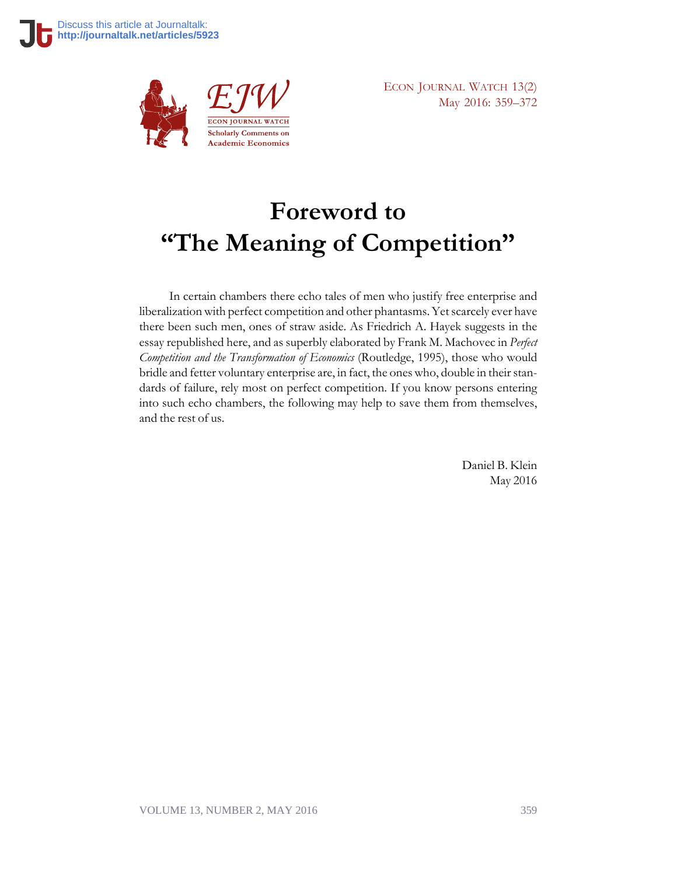

ECON JOURNAL WATCH 13(2) May 2016: 359–372

# **Foreword to "The Meaning of Competition"**

In certain chambers there echo tales of men who justify free enterprise and liberalization with perfect competition and other phantasms. Yet scarcely ever have there been such men, ones of straw aside. As Friedrich A. Hayek suggests in the essay republished here, and as superbly elaborated by Frank M. Machovec in *Perfect Competition and the Transformation of Economics* (Routledge, 1995), those who would bridle and fetter voluntary enterprise are, in fact, the ones who, double in their standards of failure, rely most on perfect competition. If you know persons entering into such echo chambers, the following may help to save them from themselves, and the rest of us.

> Daniel B. Klein May 2016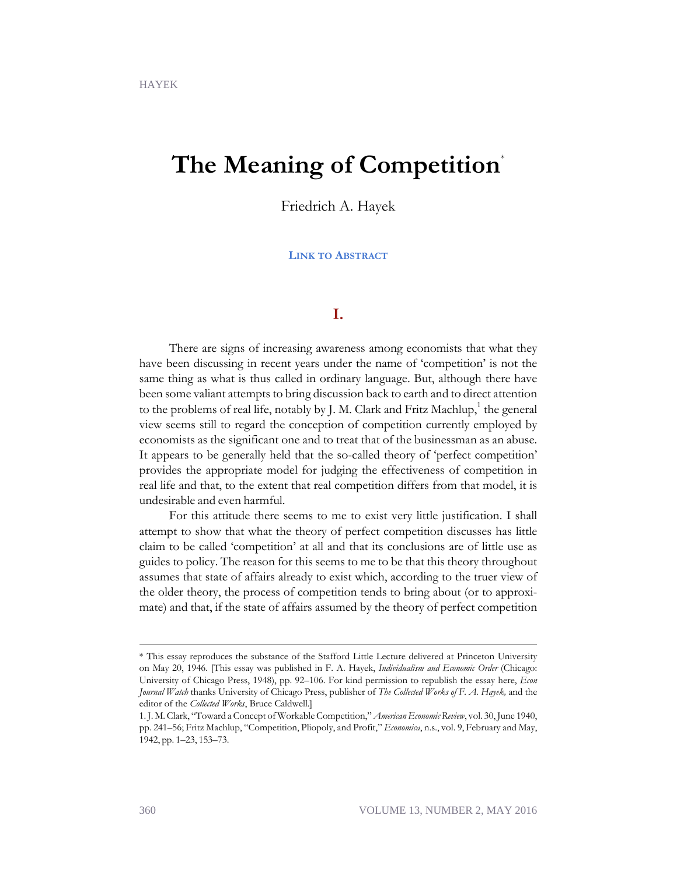# **The Meaning of Competition**\*

Friedrich A. Hayek

**LINK TO A[BSTRACT](https://econjwatch.org/1018)**

#### **I.**

There are signs of increasing awareness among economists that what they have been discussing in recent years under the name of 'competition' is not the same thing as what is thus called in ordinary language. But, although there have been some valiant attempts to bring discussion back to earth and to direct attention to the problems of real life, notably by J. M. Clark and Fritz Machlup, $^1$  the general view seems still to regard the conception of competition currently employed by economists as the significant one and to treat that of the businessman as an abuse. It appears to be generally held that the so-called theory of 'perfect competition' provides the appropriate model for judging the effectiveness of competition in real life and that, to the extent that real competition differs from that model, it is undesirable and even harmful.

For this attitude there seems to me to exist very little justification. I shall attempt to show that what the theory of perfect competition discusses has little claim to be called 'competition' at all and that its conclusions are of little use as guides to policy. The reason for this seems to me to be that this theory throughout assumes that state of affairs already to exist which, according to the truer view of the older theory, the process of competition tends to bring about (or to approximate) and that, if the state of affairs assumed by the theory of perfect competition

<sup>\*</sup> This essay reproduces the substance of the Stafford Little Lecture delivered at Princeton University on May 20, 1946. [This essay was published in F. A. Hayek, *Individualism and Economic Order* (Chicago: University of Chicago Press, 1948), pp. 92–106. For kind permission to republish the essay here, *Econ Journal Watch* thanks University of Chicago Press, publisher of *The Collected Works of F. A. Hayek,* and the editor of the *Collected Works*, Bruce Caldwell.]

<sup>1.</sup> J. M. Clark, "Toward a Concept of Workable Competition," *American Economic Review*, vol. 30, June 1940, pp. 241–56; Fritz Machlup, "Competition, Pliopoly, and Profit," *Economica*, n.s., vol. 9, February and May, 1942, pp. 1–23, 153–73.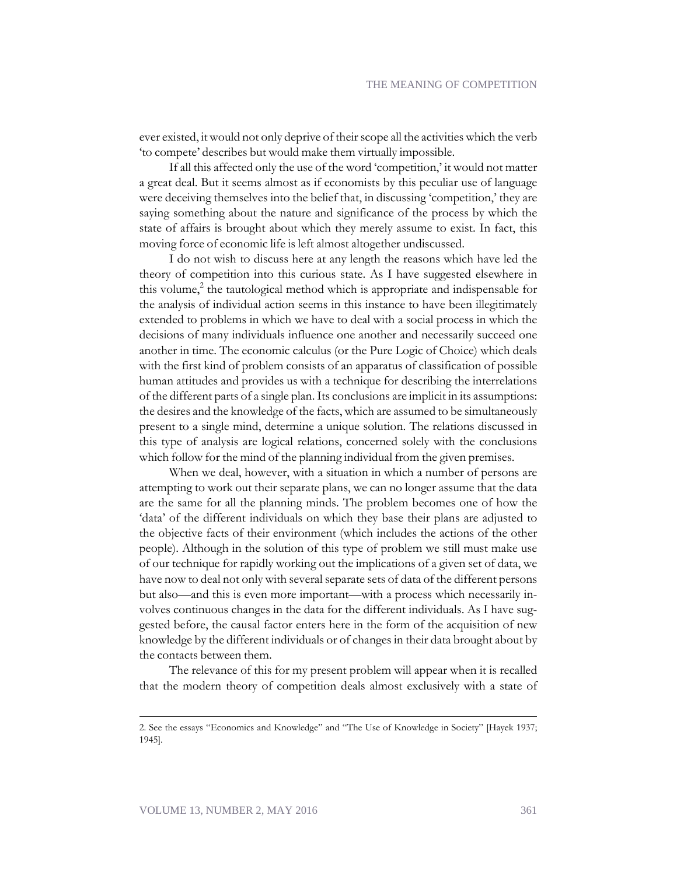ever existed, it would not only deprive of their scope all the activities which the verb 'to compete' describes but would make them virtually impossible.

If all this affected only the use of the word 'competition,' it would not matter a great deal. But it seems almost as if economists by this peculiar use of language were deceiving themselves into the belief that, in discussing 'competition,' they are saying something about the nature and significance of the process by which the state of affairs is brought about which they merely assume to exist. In fact, this moving force of economic life is left almost altogether undiscussed.

I do not wish to discuss here at any length the reasons which have led the theory of competition into this curious state. As I have suggested elsewhere in this volume, $^{2}$  the tautological method which is appropriate and indispensable for the analysis of individual action seems in this instance to have been illegitimately extended to problems in which we have to deal with a social process in which the decisions of many individuals influence one another and necessarily succeed one another in time. The economic calculus (or the Pure Logic of Choice) which deals with the first kind of problem consists of an apparatus of classification of possible human attitudes and provides us with a technique for describing the interrelations of the different parts of a single plan. Its conclusions are implicit in its assumptions: the desires and the knowledge of the facts, which are assumed to be simultaneously present to a single mind, determine a unique solution. The relations discussed in this type of analysis are logical relations, concerned solely with the conclusions which follow for the mind of the planning individual from the given premises.

When we deal, however, with a situation in which a number of persons are attempting to work out their separate plans, we can no longer assume that the data are the same for all the planning minds. The problem becomes one of how the 'data' of the different individuals on which they base their plans are adjusted to the objective facts of their environment (which includes the actions of the other people). Although in the solution of this type of problem we still must make use of our technique for rapidly working out the implications of a given set of data, we have now to deal not only with several separate sets of data of the different persons but also—and this is even more important—with a process which necessarily involves continuous changes in the data for the different individuals. As I have suggested before, the causal factor enters here in the form of the acquisition of new knowledge by the different individuals or of changes in their data brought about by the contacts between them.

The relevance of this for my present problem will appear when it is recalled that the modern theory of competition deals almost exclusively with a state of

<sup>2.</sup> See the essays "Economics and Knowledge" and "The Use of Knowledge in Society" [Hayek 1937; 1945].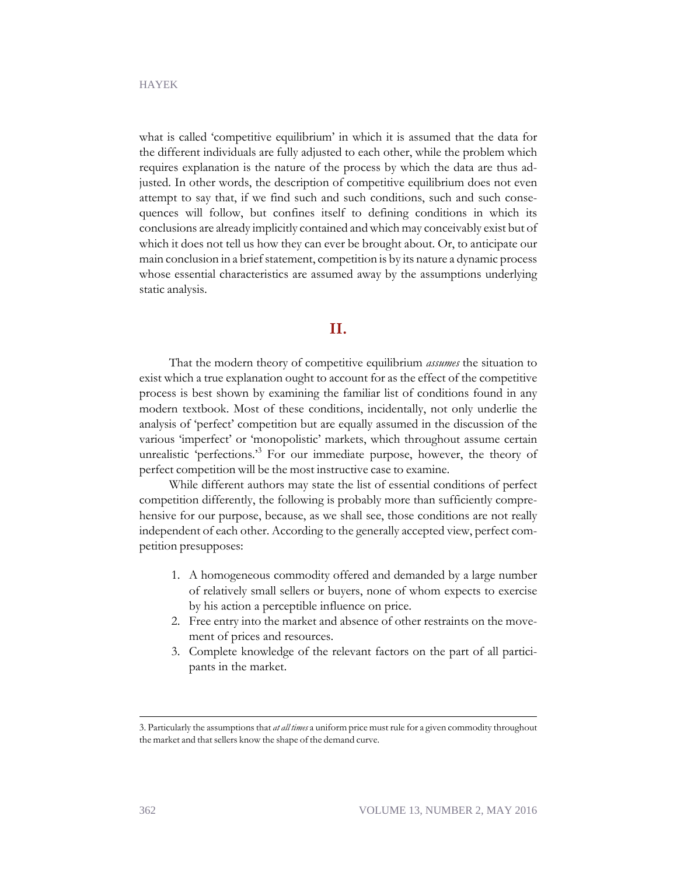what is called 'competitive equilibrium' in which it is assumed that the data for the different individuals are fully adjusted to each other, while the problem which requires explanation is the nature of the process by which the data are thus adjusted. In other words, the description of competitive equilibrium does not even attempt to say that, if we find such and such conditions, such and such consequences will follow, but confines itself to defining conditions in which its conclusions are already implicitly contained and which may conceivably exist but of which it does not tell us how they can ever be brought about. Or, to anticipate our main conclusion in a brief statement, competition is by its nature a dynamic process whose essential characteristics are assumed away by the assumptions underlying static analysis.

### **II.**

That the modern theory of competitive equilibrium *assumes* the situation to exist which a true explanation ought to account for as the effect of the competitive process is best shown by examining the familiar list of conditions found in any modern textbook. Most of these conditions, incidentally, not only underlie the analysis of 'perfect' competition but are equally assumed in the discussion of the various 'imperfect' or 'monopolistic' markets, which throughout assume certain unrealistic 'perfections.<sup>3</sup> For our immediate purpose, however, the theory of perfect competition will be the most instructive case to examine.

While different authors may state the list of essential conditions of perfect competition differently, the following is probably more than sufficiently comprehensive for our purpose, because, as we shall see, those conditions are not really independent of each other. According to the generally accepted view, perfect competition presupposes:

- 1. A homogeneous commodity offered and demanded by a large number of relatively small sellers or buyers, none of whom expects to exercise by his action a perceptible influence on price.
- 2. Free entry into the market and absence of other restraints on the movement of prices and resources.
- 3. Complete knowledge of the relevant factors on the part of all participants in the market.

<sup>3.</sup> Particularly the assumptions that *at all times* a uniform price must rule for a given commodity throughout the market and that sellers know the shape of the demand curve.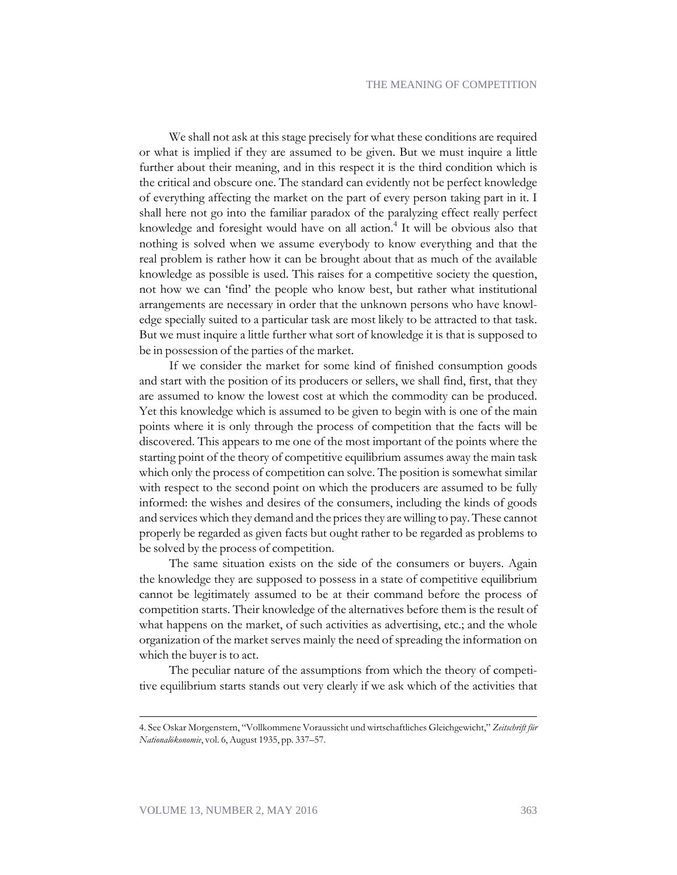We shall not ask at this stage precisely for what these conditions are required or what is implied if they are assumed to be given. But we must inquire a little further about their meaning, and in this respect it is the third condition which is the critical and obscure one. The standard can evidently not be perfect knowledge of everything affecting the market on the part of every person taking part in it. I shall here not go into the familiar paradox of the paralyzing effect really perfect knowledge and foresight would have on all action.<sup>4</sup> It will be obvious also that nothing is solved when we assume everybody to know everything and that the real problem is rather how it can be brought about that as much of the available knowledge as possible is used. This raises for a competitive society the question, not how we can 'find' the people who know best, but rather what institutional arrangements are necessary in order that the unknown persons who have knowledge specially suited to a particular task are most likely to be attracted to that task. But we must inquire a little further what sort of knowledge it is that is supposed to be in possession of the parties of the market.

If we consider the market for some kind of finished consumption goods and start with the position of its producers or sellers, we shall find, first, that they are assumed to know the lowest cost at which the commodity can be produced. Yet this knowledge which is assumed to be given to begin with is one of the main points where it is only through the process of competition that the facts will be discovered. This appears to me one of the most important of the points where the starting point of the theory of competitive equilibrium assumes away the main task which only the process of competition can solve. The position is somewhat similar with respect to the second point on which the producers are assumed to be fully informed: the wishes and desires of the consumers, including the kinds of goods and services which they demand and the prices they are willing to pay. These cannot properly be regarded as given facts but ought rather to be regarded as problems to be solved by the process of competition.

The same situation exists on the side of the consumers or buyers. Again the knowledge they are supposed to possess in a state of competitive equilibrium cannot be legitimately assumed to be at their command before the process of competition starts. Their knowledge of the alternatives before them is the result of what happens on the market, of such activities as advertising, etc.; and the whole organization of the market serves mainly the need of spreading the information on which the buyer is to act.

The peculiar nature of the assumptions from which the theory of competitive equilibrium starts stands out very clearly if we ask which of the activities that

<sup>4.</sup> See Oskar Morgenstern, "Vollkommene Voraussicht und wirtschaftliches Gleichgewicht," *Zeitschrift für Nationalökonomie*, vol. 6, August 1935, pp. 337–57.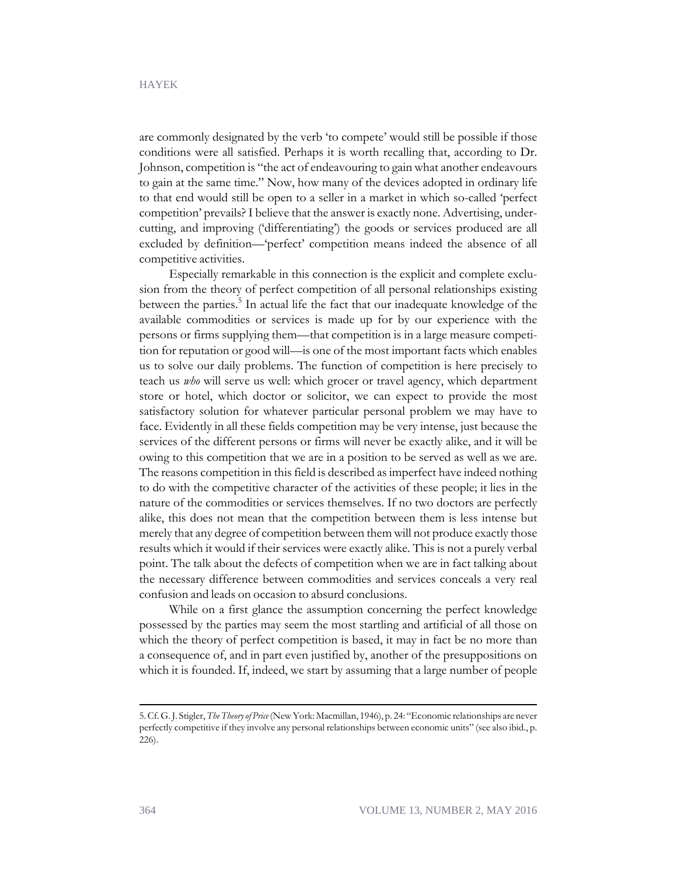are commonly designated by the verb 'to compete' would still be possible if those conditions were all satisfied. Perhaps it is worth recalling that, according to Dr. Johnson, competition is "the act of endeavouring to gain what another endeavours to gain at the same time." Now, how many of the devices adopted in ordinary life to that end would still be open to a seller in a market in which so-called 'perfect competition' prevails? I believe that the answer is exactly none. Advertising, undercutting, and improving ('differentiating') the goods or services produced are all excluded by definition—'perfect' competition means indeed the absence of all competitive activities.

Especially remarkable in this connection is the explicit and complete exclusion from the theory of perfect competition of all personal relationships existing between the parties.<sup>5</sup> In actual life the fact that our inadequate knowledge of the available commodities or services is made up for by our experience with the persons or firms supplying them—that competition is in a large measure competition for reputation or good will—is one of the most important facts which enables us to solve our daily problems. The function of competition is here precisely to teach us *who* will serve us well: which grocer or travel agency, which department store or hotel, which doctor or solicitor, we can expect to provide the most satisfactory solution for whatever particular personal problem we may have to face. Evidently in all these fields competition may be very intense, just because the services of the different persons or firms will never be exactly alike, and it will be owing to this competition that we are in a position to be served as well as we are. The reasons competition in this field is described as imperfect have indeed nothing to do with the competitive character of the activities of these people; it lies in the nature of the commodities or services themselves. If no two doctors are perfectly alike, this does not mean that the competition between them is less intense but merely that any degree of competition between them will not produce exactly those results which it would if their services were exactly alike. This is not a purely verbal point. The talk about the defects of competition when we are in fact talking about the necessary difference between commodities and services conceals a very real confusion and leads on occasion to absurd conclusions.

While on a first glance the assumption concerning the perfect knowledge possessed by the parties may seem the most startling and artificial of all those on which the theory of perfect competition is based, it may in fact be no more than a consequence of, and in part even justified by, another of the presuppositions on which it is founded. If, indeed, we start by assuming that a large number of people

<sup>5.</sup> Cf. G. J. Stigler, *The Theory of Price* (New York: Macmillan, 1946), p. 24: "Economic relationships are never perfectly competitive if they involve any personal relationships between economic units" (see also ibid., p. 226).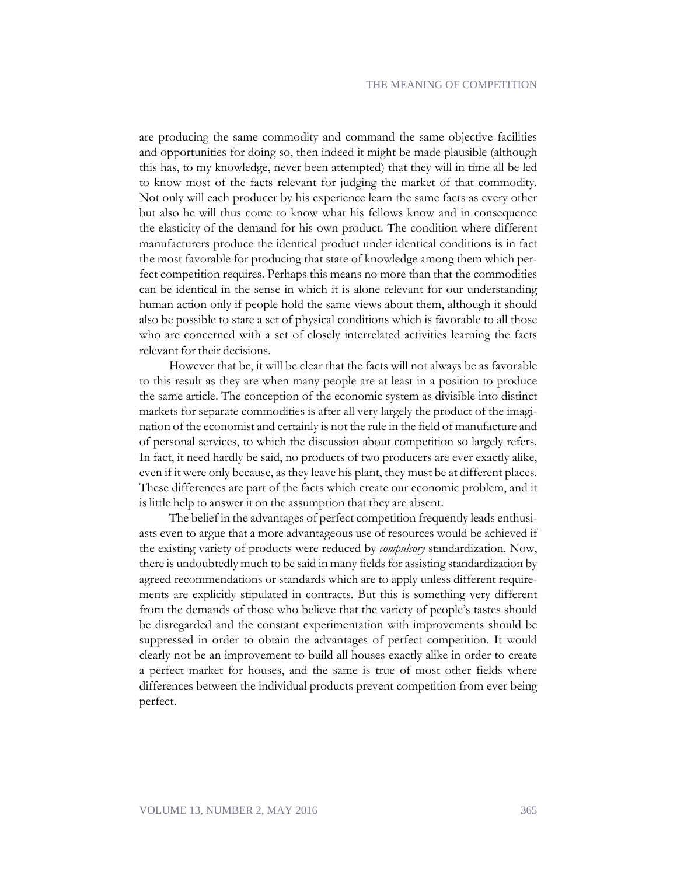are producing the same commodity and command the same objective facilities and opportunities for doing so, then indeed it might be made plausible (although this has, to my knowledge, never been attempted) that they will in time all be led to know most of the facts relevant for judging the market of that commodity. Not only will each producer by his experience learn the same facts as every other but also he will thus come to know what his fellows know and in consequence the elasticity of the demand for his own product. The condition where different manufacturers produce the identical product under identical conditions is in fact the most favorable for producing that state of knowledge among them which perfect competition requires. Perhaps this means no more than that the commodities can be identical in the sense in which it is alone relevant for our understanding human action only if people hold the same views about them, although it should also be possible to state a set of physical conditions which is favorable to all those who are concerned with a set of closely interrelated activities learning the facts relevant for their decisions.

However that be, it will be clear that the facts will not always be as favorable to this result as they are when many people are at least in a position to produce the same article. The conception of the economic system as divisible into distinct markets for separate commodities is after all very largely the product of the imagination of the economist and certainly is not the rule in the field of manufacture and of personal services, to which the discussion about competition so largely refers. In fact, it need hardly be said, no products of two producers are ever exactly alike, even if it were only because, as they leave his plant, they must be at different places. These differences are part of the facts which create our economic problem, and it is little help to answer it on the assumption that they are absent.

The belief in the advantages of perfect competition frequently leads enthusiasts even to argue that a more advantageous use of resources would be achieved if the existing variety of products were reduced by *compulsory* standardization. Now, there is undoubtedly much to be said in many fields for assisting standardization by agreed recommendations or standards which are to apply unless different requirements are explicitly stipulated in contracts. But this is something very different from the demands of those who believe that the variety of people's tastes should be disregarded and the constant experimentation with improvements should be suppressed in order to obtain the advantages of perfect competition. It would clearly not be an improvement to build all houses exactly alike in order to create a perfect market for houses, and the same is true of most other fields where differences between the individual products prevent competition from ever being perfect.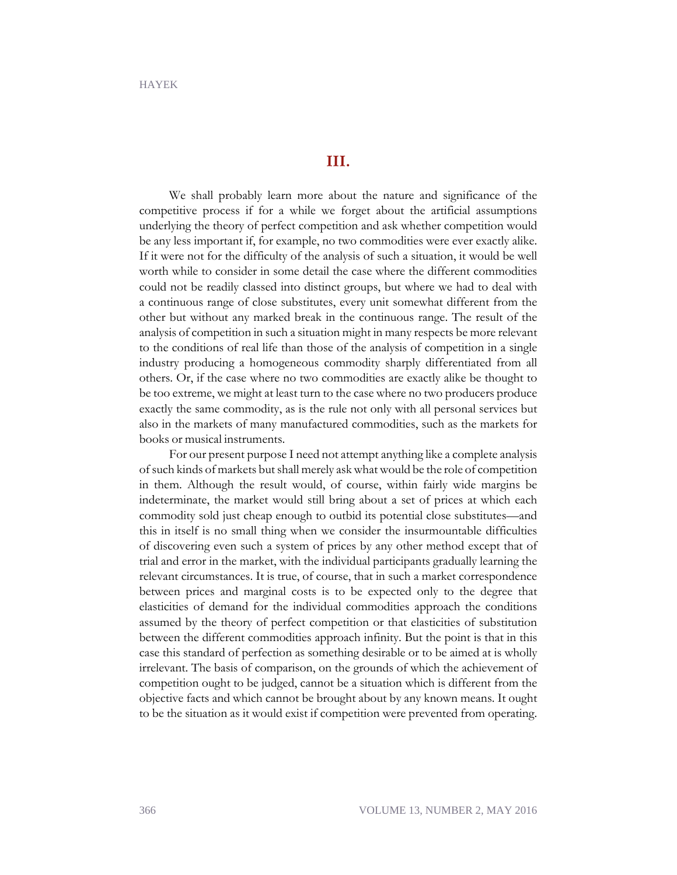#### **III.**

We shall probably learn more about the nature and significance of the competitive process if for a while we forget about the artificial assumptions underlying the theory of perfect competition and ask whether competition would be any less important if, for example, no two commodities were ever exactly alike. If it were not for the difficulty of the analysis of such a situation, it would be well worth while to consider in some detail the case where the different commodities could not be readily classed into distinct groups, but where we had to deal with a continuous range of close substitutes, every unit somewhat different from the other but without any marked break in the continuous range. The result of the analysis of competition in such a situation might in many respects be more relevant to the conditions of real life than those of the analysis of competition in a single industry producing a homogeneous commodity sharply differentiated from all others. Or, if the case where no two commodities are exactly alike be thought to be too extreme, we might at least turn to the case where no two producers produce exactly the same commodity, as is the rule not only with all personal services but also in the markets of many manufactured commodities, such as the markets for books or musical instruments.

For our present purpose I need not attempt anything like a complete analysis of such kinds of markets but shall merely ask what would be the role of competition in them. Although the result would, of course, within fairly wide margins be indeterminate, the market would still bring about a set of prices at which each commodity sold just cheap enough to outbid its potential close substitutes—and this in itself is no small thing when we consider the insurmountable difficulties of discovering even such a system of prices by any other method except that of trial and error in the market, with the individual participants gradually learning the relevant circumstances. It is true, of course, that in such a market correspondence between prices and marginal costs is to be expected only to the degree that elasticities of demand for the individual commodities approach the conditions assumed by the theory of perfect competition or that elasticities of substitution between the different commodities approach infinity. But the point is that in this case this standard of perfection as something desirable or to be aimed at is wholly irrelevant. The basis of comparison, on the grounds of which the achievement of competition ought to be judged, cannot be a situation which is different from the objective facts and which cannot be brought about by any known means. It ought to be the situation as it would exist if competition were prevented from operating.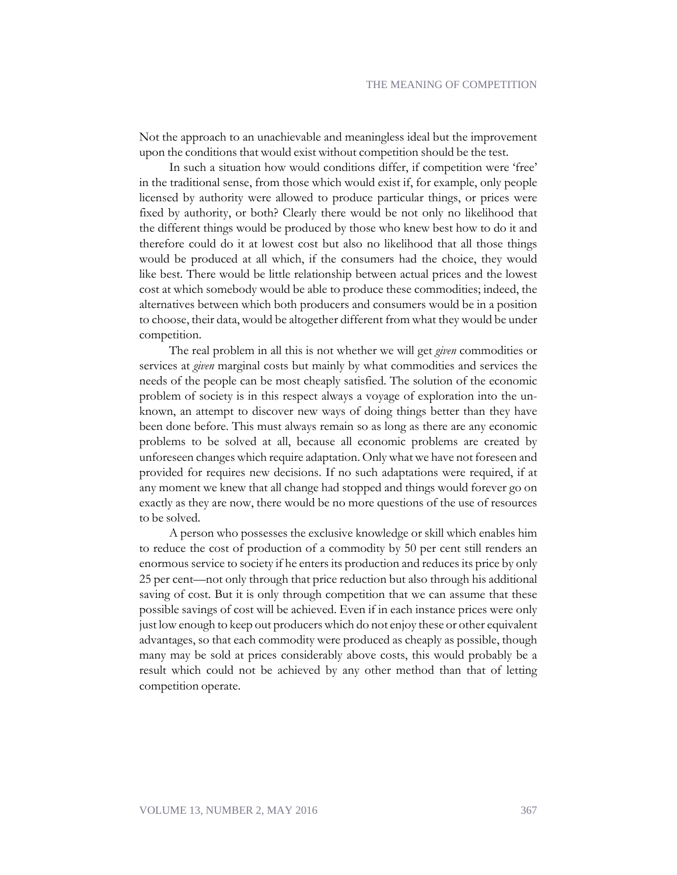Not the approach to an unachievable and meaningless ideal but the improvement upon the conditions that would exist without competition should be the test.

In such a situation how would conditions differ, if competition were 'free' in the traditional sense, from those which would exist if, for example, only people licensed by authority were allowed to produce particular things, or prices were fixed by authority, or both? Clearly there would be not only no likelihood that the different things would be produced by those who knew best how to do it and therefore could do it at lowest cost but also no likelihood that all those things would be produced at all which, if the consumers had the choice, they would like best. There would be little relationship between actual prices and the lowest cost at which somebody would be able to produce these commodities; indeed, the alternatives between which both producers and consumers would be in a position to choose, their data, would be altogether different from what they would be under competition.

The real problem in all this is not whether we will get *given* commodities or services at *given* marginal costs but mainly by what commodities and services the needs of the people can be most cheaply satisfied. The solution of the economic problem of society is in this respect always a voyage of exploration into the unknown, an attempt to discover new ways of doing things better than they have been done before. This must always remain so as long as there are any economic problems to be solved at all, because all economic problems are created by unforeseen changes which require adaptation. Only what we have not foreseen and provided for requires new decisions. If no such adaptations were required, if at any moment we knew that all change had stopped and things would forever go on exactly as they are now, there would be no more questions of the use of resources to be solved.

A person who possesses the exclusive knowledge or skill which enables him to reduce the cost of production of a commodity by 50 per cent still renders an enormous service to society if he enters its production and reduces its price by only 25 per cent—not only through that price reduction but also through his additional saving of cost. But it is only through competition that we can assume that these possible savings of cost will be achieved. Even if in each instance prices were only just low enough to keep out producers which do not enjoy these or other equivalent advantages, so that each commodity were produced as cheaply as possible, though many may be sold at prices considerably above costs, this would probably be a result which could not be achieved by any other method than that of letting competition operate.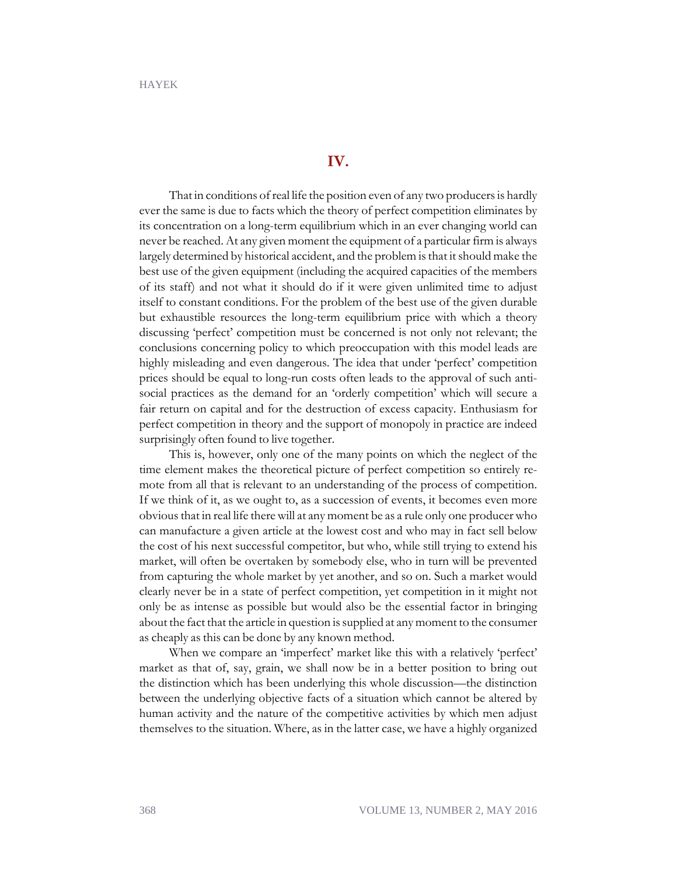#### **IV.**

That in conditions of real life the position even of any two producers is hardly ever the same is due to facts which the theory of perfect competition eliminates by its concentration on a long-term equilibrium which in an ever changing world can never be reached. At any given moment the equipment of a particular firm is always largely determined by historical accident, and the problem is that it should make the best use of the given equipment (including the acquired capacities of the members of its staff) and not what it should do if it were given unlimited time to adjust itself to constant conditions. For the problem of the best use of the given durable but exhaustible resources the long-term equilibrium price with which a theory discussing 'perfect' competition must be concerned is not only not relevant; the conclusions concerning policy to which preoccupation with this model leads are highly misleading and even dangerous. The idea that under 'perfect' competition prices should be equal to long-run costs often leads to the approval of such antisocial practices as the demand for an 'orderly competition' which will secure a fair return on capital and for the destruction of excess capacity. Enthusiasm for perfect competition in theory and the support of monopoly in practice are indeed surprisingly often found to live together.

This is, however, only one of the many points on which the neglect of the time element makes the theoretical picture of perfect competition so entirely remote from all that is relevant to an understanding of the process of competition. If we think of it, as we ought to, as a succession of events, it becomes even more obvious that in real life there will at any moment be as a rule only one producer who can manufacture a given article at the lowest cost and who may in fact sell below the cost of his next successful competitor, but who, while still trying to extend his market, will often be overtaken by somebody else, who in turn will be prevented from capturing the whole market by yet another, and so on. Such a market would clearly never be in a state of perfect competition, yet competition in it might not only be as intense as possible but would also be the essential factor in bringing about the fact that the article in question is supplied at any moment to the consumer as cheaply as this can be done by any known method.

When we compare an 'imperfect' market like this with a relatively 'perfect' market as that of, say, grain, we shall now be in a better position to bring out the distinction which has been underlying this whole discussion—the distinction between the underlying objective facts of a situation which cannot be altered by human activity and the nature of the competitive activities by which men adjust themselves to the situation. Where, as in the latter case, we have a highly organized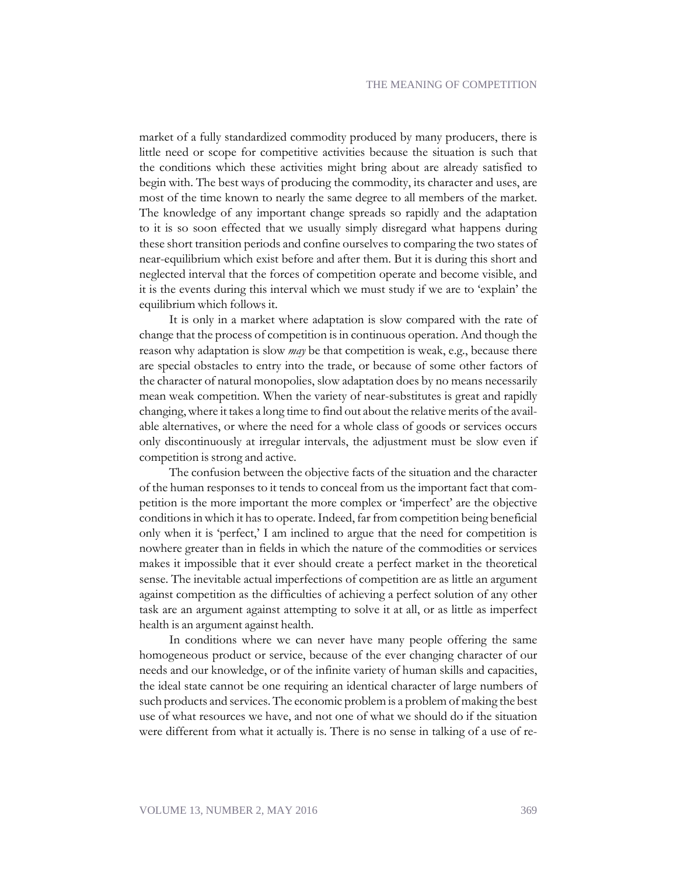market of a fully standardized commodity produced by many producers, there is little need or scope for competitive activities because the situation is such that the conditions which these activities might bring about are already satisfied to begin with. The best ways of producing the commodity, its character and uses, are most of the time known to nearly the same degree to all members of the market. The knowledge of any important change spreads so rapidly and the adaptation to it is so soon effected that we usually simply disregard what happens during these short transition periods and confine ourselves to comparing the two states of near-equilibrium which exist before and after them. But it is during this short and neglected interval that the forces of competition operate and become visible, and it is the events during this interval which we must study if we are to 'explain' the equilibrium which follows it.

It is only in a market where adaptation is slow compared with the rate of change that the process of competition is in continuous operation. And though the reason why adaptation is slow *may* be that competition is weak, e.g., because there are special obstacles to entry into the trade, or because of some other factors of the character of natural monopolies, slow adaptation does by no means necessarily mean weak competition. When the variety of near-substitutes is great and rapidly changing, where it takes a long time to find out about the relative merits of the available alternatives, or where the need for a whole class of goods or services occurs only discontinuously at irregular intervals, the adjustment must be slow even if competition is strong and active.

The confusion between the objective facts of the situation and the character of the human responses to it tends to conceal from us the important fact that competition is the more important the more complex or 'imperfect' are the objective conditions in which it has to operate. Indeed, far from competition being beneficial only when it is 'perfect,' I am inclined to argue that the need for competition is nowhere greater than in fields in which the nature of the commodities or services makes it impossible that it ever should create a perfect market in the theoretical sense. The inevitable actual imperfections of competition are as little an argument against competition as the difficulties of achieving a perfect solution of any other task are an argument against attempting to solve it at all, or as little as imperfect health is an argument against health.

In conditions where we can never have many people offering the same homogeneous product or service, because of the ever changing character of our needs and our knowledge, or of the infinite variety of human skills and capacities, the ideal state cannot be one requiring an identical character of large numbers of such products and services. The economic problem is a problem of making the best use of what resources we have, and not one of what we should do if the situation were different from what it actually is. There is no sense in talking of a use of re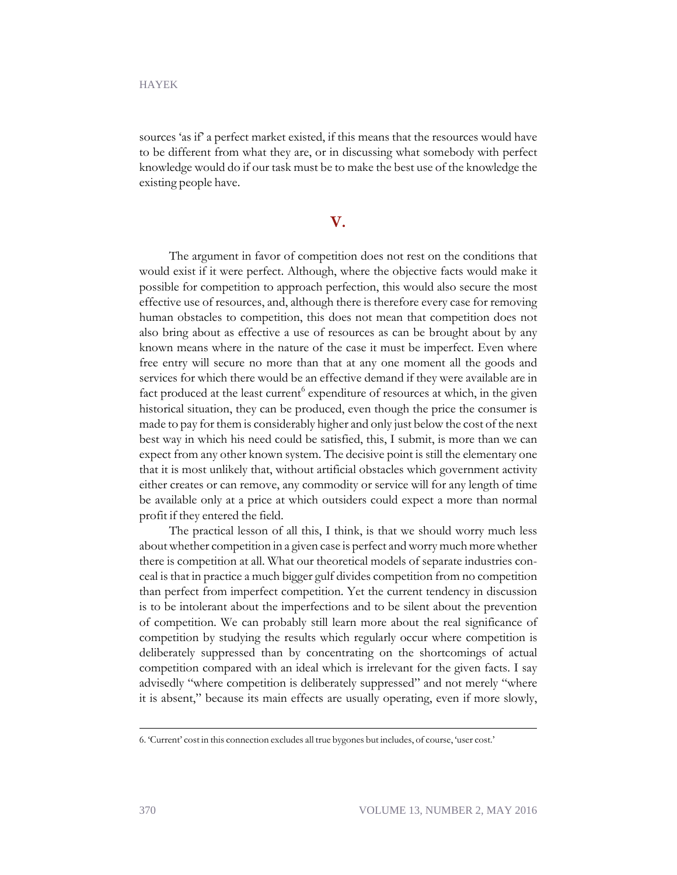sources 'as if' a perfect market existed, if this means that the resources would have to be different from what they are, or in discussing what somebody with perfect knowledge would do if our task must be to make the best use of the knowledge the existing people have.

#### **V.**

The argument in favor of competition does not rest on the conditions that would exist if it were perfect. Although, where the objective facts would make it possible for competition to approach perfection, this would also secure the most effective use of resources, and, although there is therefore every case for removing human obstacles to competition, this does not mean that competition does not also bring about as effective a use of resources as can be brought about by any known means where in the nature of the case it must be imperfect. Even where free entry will secure no more than that at any one moment all the goods and services for which there would be an effective demand if they were available are in fact produced at the least current<sup>6</sup> expenditure of resources at which, in the given historical situation, they can be produced, even though the price the consumer is made to pay for them is considerably higher and only just below the cost of the next best way in which his need could be satisfied, this, I submit, is more than we can expect from any other known system. The decisive point is still the elementary one that it is most unlikely that, without artificial obstacles which government activity either creates or can remove, any commodity or service will for any length of time be available only at a price at which outsiders could expect a more than normal profit if they entered the field.

The practical lesson of all this, I think, is that we should worry much less about whether competition in a given case is perfect and worry much more whether there is competition at all. What our theoretical models of separate industries conceal is that in practice a much bigger gulf divides competition from no competition than perfect from imperfect competition. Yet the current tendency in discussion is to be intolerant about the imperfections and to be silent about the prevention of competition. We can probably still learn more about the real significance of competition by studying the results which regularly occur where competition is deliberately suppressed than by concentrating on the shortcomings of actual competition compared with an ideal which is irrelevant for the given facts. I say advisedly "where competition is deliberately suppressed" and not merely "where it is absent," because its main effects are usually operating, even if more slowly,

<sup>6. &#</sup>x27;Current' cost in this connection excludes all true bygones but includes, of course, 'user cost.'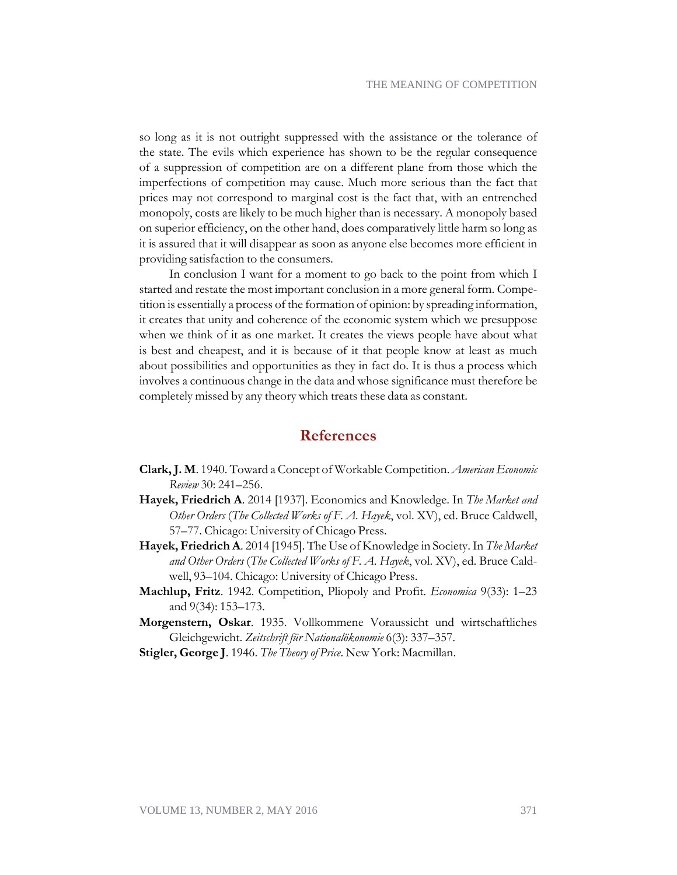so long as it is not outright suppressed with the assistance or the tolerance of the state. The evils which experience has shown to be the regular consequence of a suppression of competition are on a different plane from those which the imperfections of competition may cause. Much more serious than the fact that prices may not correspond to marginal cost is the fact that, with an entrenched monopoly, costs are likely to be much higher than is necessary. A monopoly based on superior efficiency, on the other hand, does comparatively little harm so long as it is assured that it will disappear as soon as anyone else becomes more efficient in providing satisfaction to the consumers.

In conclusion I want for a moment to go back to the point from which I started and restate the most important conclusion in a more general form. Competition is essentially a process of the formation of opinion: by spreading information, it creates that unity and coherence of the economic system which we presuppose when we think of it as one market. It creates the views people have about what is best and cheapest, and it is because of it that people know at least as much about possibilities and opportunities as they in fact do. It is thus a process which involves a continuous change in the data and whose significance must therefore be completely missed by any theory which treats these data as constant.

#### **References**

- **Clark, J. M**. 1940. Toward a Concept of Workable Competition. *American Economic Review* 30: 241–256.
- **Hayek, Friedrich A**. 2014 [1937]. Economics and Knowledge. In *The Market and Other Orders* (*The Collected Works of F. A. Hayek*, vol. XV), ed. Bruce Caldwell, 57–77. Chicago: University of Chicago Press.
- **Hayek, Friedrich A**. 2014 [1945]. The Use of Knowledge in Society. In *The Market and Other Orders* (*The Collected Works of F. A. Hayek*, vol. XV), ed. Bruce Caldwell, 93–104. Chicago: University of Chicago Press.
- **Machlup, Fritz**. 1942. Competition, Pliopoly and Profit. *Economica* 9(33): 1–23 and 9(34): 153–173.
- **Morgenstern, Oskar**. 1935. Vollkommene Voraussicht und wirtschaftliches Gleichgewicht. *Zeitschrift für Nationalökonomie* 6(3): 337–357.
- **Stigler, George J**. 1946. *The Theory of Price*. New York: Macmillan.